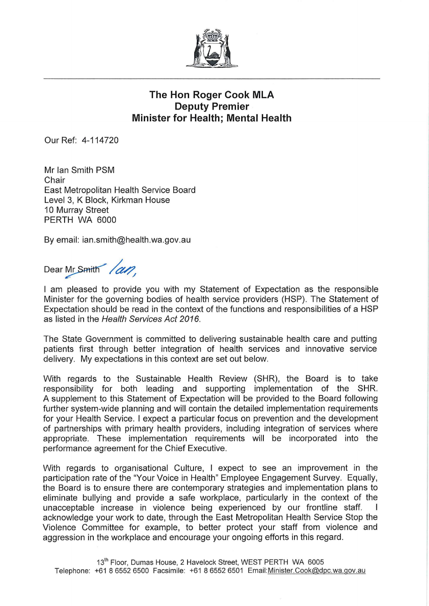

## The Hon Roger Cook MLA Deputy Premier Minister for Health; Mental Health

Our Ref: 4-114720

Mr Ian Smith PSM **Chair** East Metropolitan Health Service Board Level 3, K Block, Kirkman House 10 Murray Street PERTH WA 6000

By email: ian.smith@health.wa.gov.au

Dear Mr Smith /an.

I am pleased to provide you with my Statement of Expectation as the responsible Minister for the governing bodies of health service providers (HSP). The Statement of Expectation should be read in the context of the functions and responsibilities of a HSP as listed in the Health Services Act 2016.

The State Government is committed to delivering sustainable health care and putting patients first through better integration of health services and innovative service delivery. My expectations in this context are set out below.

With regards to the Sustainable Health Review (SHR), the Board is to take responsibility for both leading and supporting implementation of the SHR. A supplement to this Statement of Expectation will be provided to the Board following further system-wide planning and will contain the detailed implementation requirements for your Health Service. I expect a particular focus on prevention and the development of partnerships with primary health providers, including integration of services where appropriate. These implementation requirements will be incorporated into the performance agreement for the Chief Executive.

With regards to organisational Culture, I expect to see an improvement in the participation rate of the "Your Voice in Health" Employee Engagement Survey. Equally, the Board is to ensure there are contemporary strategies and implementation plans to eliminate bullying and provide a safe workplace, particularly in the context of the unacceptable increase in violence being experienced by our frontline staff. acknowledge your work to date, through the East Metropolitan Health Service Stop the Violence Committee for example, to better protect your staff from violence and aggression in the workplace and encourage your ongoing efforts in this regard.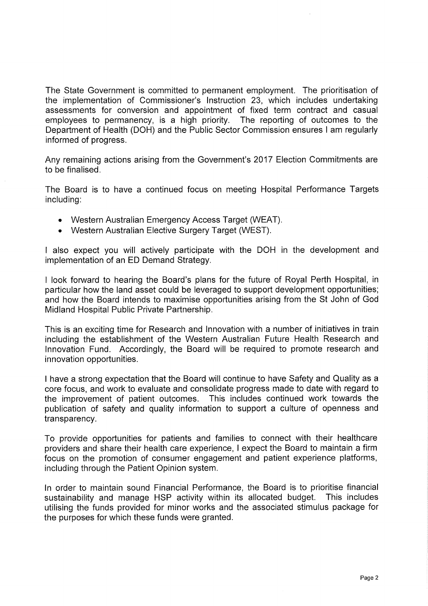The State Government is committed to permanent employment. The prioritisation of the implementation of Commissioner's Instruction 23, which includes undertaking assessments for conversion and appointment of fixed term contract and casual employees to permanency, is a high priority. The reporting of outcomes to the Department of Health (DOH) and the Public Sector Commission ensures I am regularly informed of progress.

Any remaining actions arising from the Government's 2017 Election Commitments are to be finalised.

The Board is to have a continued focus on meeting Hospital Performance Targets including:

- Western Australian Emergency Access Target (WEAT).
- Western Australian Elective Surgery Target (WEST).

I also expect you will actively participate with the DOH in the development and implementation of an ED Demand Strategy.

I look forward to hearing the Board's plans for the future of Royal Perth Hospital, in particular how the land asset could be leveraged to support development opportunities; and how the Board intends to maximise opportunities arising from the St John of God Midland Hospital Public Private Partnership.

This is an exciting time for Research and Innovation with a number of initiatives in train including the establishment of the Western Australian Future Health Research and Innovation Fund. Accordingly, the Board will be required to promote research and innovation opportunities.

I have a strong expectation that the Board will continue to have Safety and Quality as a core focus, and work to evaluate and consolidate progress made to date with regard to the improvement of patient outcomes. This includes continued work towards the publication of safety and quality information to support a culture of openness and transparency.

To provide opportunities for patients and families to connect with their healthcare providers and share their health care experience, I expect the Board to maintain a firm focus on the promotion of consumer engagement and patient experience platforms, including through the Patient Opinion system.

In order to maintain sound Financial Performance, the Board is to prioritise financial sustainability and manage HSP activity within its allocated budget. This includes utilising the funds provided for minor works and the associated stimulus package for the purposes for which these funds were granted.